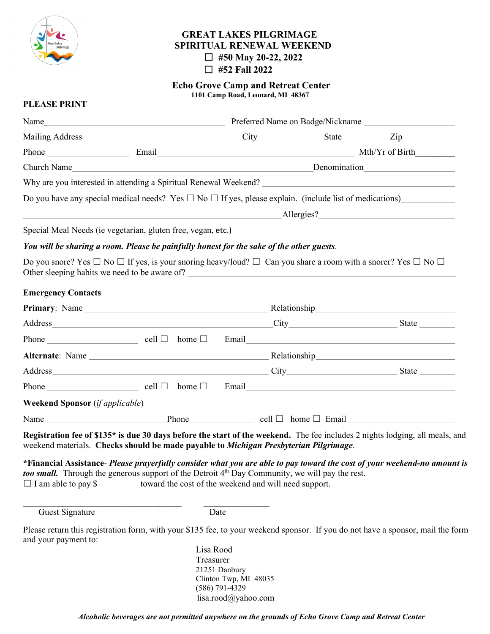

# **GREAT LAKES PILGRIMAGE SPIRITUAL RENEWAL WEEKEND** ☐ **#50 May 20-22, 2022** ☐ **#52 Fall 2022**

**Echo Grove Camp and Retreat Center 1101 Camp Road, Leonard, MI 48367**

# **PLEASE PRINT**

| Do you have any special medical needs? Yes $\Box$ No $\Box$ If yes, please explain. (include list of medications)                                                                                                                                           |                                                       |                                        |  |  |  |  |
|-------------------------------------------------------------------------------------------------------------------------------------------------------------------------------------------------------------------------------------------------------------|-------------------------------------------------------|----------------------------------------|--|--|--|--|
|                                                                                                                                                                                                                                                             |                                                       |                                        |  |  |  |  |
|                                                                                                                                                                                                                                                             |                                                       |                                        |  |  |  |  |
| You will be sharing a room. Please be painfully honest for the sake of the other guests.                                                                                                                                                                    |                                                       |                                        |  |  |  |  |
| Do you snore? Yes $\Box$ No $\Box$ If yes, is your snoring heavy/loud? $\Box$ Can you share a room with a snorer? Yes $\Box$ No $\Box$                                                                                                                      |                                                       |                                        |  |  |  |  |
| <b>Emergency Contacts</b>                                                                                                                                                                                                                                   |                                                       |                                        |  |  |  |  |
|                                                                                                                                                                                                                                                             |                                                       |                                        |  |  |  |  |
|                                                                                                                                                                                                                                                             |                                                       |                                        |  |  |  |  |
| $Phone \_$ cell $\Box$ home $\Box$ Email                                                                                                                                                                                                                    |                                                       |                                        |  |  |  |  |
|                                                                                                                                                                                                                                                             |                                                       |                                        |  |  |  |  |
|                                                                                                                                                                                                                                                             |                                                       |                                        |  |  |  |  |
| $Phone \_$ cell $\Box$ home $\Box$ Email                                                                                                                                                                                                                    |                                                       |                                        |  |  |  |  |
| <b>Weekend Sponsor</b> (if applicable)                                                                                                                                                                                                                      |                                                       |                                        |  |  |  |  |
|                                                                                                                                                                                                                                                             |                                                       |                                        |  |  |  |  |
| Registration fee of \$135* is due 30 days before the start of the weekend. The fee includes 2 nights lodging, all meals, and<br>weekend materials. Checks should be made payable to Michigan Presbyterian Pilgrimage.                                       |                                                       |                                        |  |  |  |  |
| *Financial Assistance- Please prayerfully consider what you are able to pay toward the cost of your weekend-no amount is<br>too small. Through the generous support of the Detroit $4th$ Day Community, we will pay the rest.<br>$\Box$ I am able to pay \$ | toward the cost of the weekend and will need support. |                                        |  |  |  |  |
| Guest Signature                                                                                                                                                                                                                                             |                                                       | Date                                   |  |  |  |  |
| Please return this registration form, with your \$135 fee, to your weekend sponsor. If you do not have a sponsor, mail the form<br>and your payment to:                                                                                                     |                                                       |                                        |  |  |  |  |
|                                                                                                                                                                                                                                                             | Lisa Rood<br>Treasurer                                |                                        |  |  |  |  |
|                                                                                                                                                                                                                                                             |                                                       | 21251 Danbury<br>Clinton Twp, MI 48035 |  |  |  |  |

(586) 791-4329

lisa.rood@yahoo.com